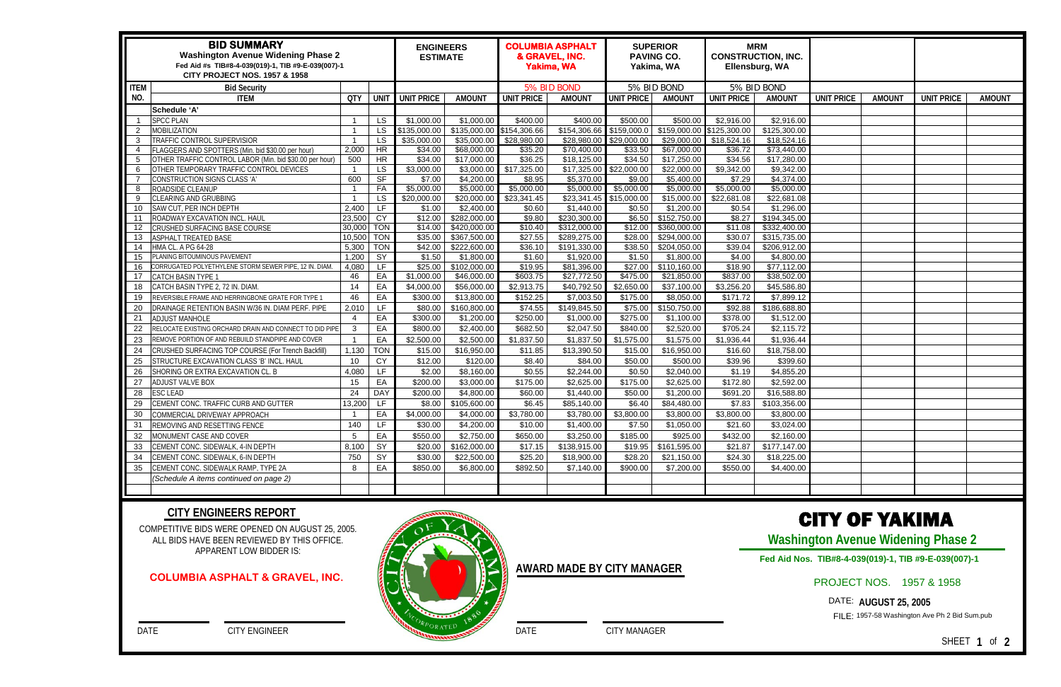|                | <b>BID SUMMARY</b><br><b>Washington Avenue Widening Phase 2</b><br>Fed Aid #s TIB#8-4-039(019)-1, TIB #9-E-039(007)-1<br><b>CITY PROJECT NOS. 1957 &amp; 1958</b> | <b>ENGINEERS</b><br><b>ESTIMATE</b> |                                       | <b>COLUMBIA ASPHALT</b><br>& GRAVEL, INC.<br><b>Yakima, WA</b> |                           | <b>SUPERIOR</b><br><b>PAVING CO.</b><br>Yakima, WA |                           | <b>MRM</b><br><b>CONSTRUCTION, INC.</b><br>Ellensburg, WA |                           |                       |                           |                   |               |                   |               |
|----------------|-------------------------------------------------------------------------------------------------------------------------------------------------------------------|-------------------------------------|---------------------------------------|----------------------------------------------------------------|---------------------------|----------------------------------------------------|---------------------------|-----------------------------------------------------------|---------------------------|-----------------------|---------------------------|-------------------|---------------|-------------------|---------------|
| <b>ITEM</b>    | <b>Bid Security</b>                                                                                                                                               |                                     |                                       |                                                                |                           | 5% BID BOND                                        |                           | 5% BID BOND                                               |                           | 5% BID BOND           |                           |                   |               |                   |               |
| NO.            | <b>ITEM</b>                                                                                                                                                       | <b>QTY</b>                          | <b>UNIT</b>                           | UNIT PRICE                                                     | <b>AMOUNT</b>             | <b>UNIT PRICE</b>                                  | <b>AMOUNT</b>             | <b>UNIT PRICE</b>                                         | <b>AMOUNT</b>             | <b>UNIT PRICE</b>     | <b>AMOUNT</b>             | <b>UNIT PRICE</b> | <b>AMOUNT</b> | <b>UNIT PRICE</b> | <b>AMOUNT</b> |
|                | Schedule 'A'                                                                                                                                                      |                                     |                                       |                                                                |                           |                                                    |                           |                                                           |                           |                       |                           |                   |               |                   |               |
|                | <b>SPCC PLAN</b>                                                                                                                                                  | $\overline{1}$                      | <b>LS</b>                             | \$1,000.00                                                     | \$1,000.00                | \$400.00                                           | \$400.00                  | \$500.00                                                  | \$500.00                  | \$2,916.00            | \$2,916.00                |                   |               |                   |               |
| -2             | <b>MOBILIZATION</b>                                                                                                                                               | $\overline{1}$                      | <b>LS</b>                             | \$135,000.00                                                   | \$135,000.00              | \$154,306.66                                       | \$154,306.66              | \$159,000.0                                               | \$159,000.00 \$125,300.00 |                       | \$125,300.00              |                   |               |                   |               |
| 3              | TRAFFIC CONTROL SUPERVISIOR                                                                                                                                       | $\overline{1}$                      | <b>LS</b>                             | \$35,000.00                                                    | \$35,000.00               | \$28,980.00                                        | \$28,980.00               | \$29,000.00                                               | \$29,000.00               | \$18,524.16           | \$18,524.16               |                   |               |                   |               |
| $\overline{4}$ | FLAGGERS AND SPOTTERS (Min. bid \$30.00 per hour)                                                                                                                 | 2,000                               | <b>HR</b>                             | \$34.00                                                        | \$68,000.00               | \$35.20                                            | \$70,400.00               | \$33.50                                                   | \$67,000.00               | \$36.72               | \$73,440.00               |                   |               |                   |               |
| 5              | OTHER TRAFFIC CONTROL LABOR (Min. bid \$30.00 per hour)                                                                                                           | 500                                 | <b>HR</b>                             | \$34.00                                                        | \$17,000.00               | \$36.25                                            | \$18,125.00               | \$34.50                                                   | \$17,250.00               | \$34.56               | \$17,280.00               |                   |               |                   |               |
| 6              | OTHER TEMPORARY TRAFFIC CONTROL DEVICES                                                                                                                           | $\overline{1}$                      | <b>LS</b>                             | \$3,000.00                                                     | \$3,000.00                | \$17,325.00                                        | \$17,325.00               | \$22,000.00                                               | \$22,000.00               | \$9,342.00            | \$9,342.00                |                   |               |                   |               |
|                | CONSTRUCTION SIGNS CLASS 'A'                                                                                                                                      | 600                                 | <b>SF</b>                             | \$7.00                                                         | \$4,200.00                | \$8.95                                             | \$5,370.00                | \$9.00                                                    | \$5,400.00                | \$7.29                | \$4,374.00                |                   |               |                   |               |
| 8              | ROADSIDE CLEANUP                                                                                                                                                  | $\overline{1}$                      | FA                                    | \$5,000.00                                                     | \$5,000.00                | \$5,000.00                                         | \$5,000.00                | \$5,000.00                                                | \$5,000.00                | \$5,000.00            | \$5,000.00                |                   |               |                   |               |
| -9             | CLEARING AND GRUBBING<br>SAW CUT, PER INCH DEPTH                                                                                                                  | - 1<br>2,400                        | <b>LS</b><br>$\overline{\mathsf{LF}}$ | \$20,000.00<br>\$1.00                                          | \$20,000.00<br>\$2,400.00 | \$23,341.45<br>\$0.60                              | \$23,341.45<br>\$1,440.00 | \$15,000.00<br>\$0.50                                     | \$15,000.00<br>\$1,200.00 | \$22,681.08<br>\$0.54 | \$22,681.08<br>\$1,296.00 |                   |               |                   |               |
| 10<br>11       | ROADWAY EXCAVATION INCL. HAUL                                                                                                                                     | 23,500                              | <b>CY</b>                             | \$12.00                                                        | \$282,000.00              | \$9.80                                             | \$230,300.00              | \$6.50                                                    | \$152,750.00              | \$8.27                | \$194,345.00              |                   |               |                   |               |
| 12             | CRUSHED SURFACING BASE COURSE                                                                                                                                     | 30,000                              | <b>TON</b>                            | \$14.00                                                        | \$420,000.00              | \$10.40                                            | \$312,000.00              | \$12.00                                                   | \$360,000.00              | \$11.08               | \$332,400.00              |                   |               |                   |               |
| 13             | <b>ASPHALT TREATED BASE</b>                                                                                                                                       | 10,500                              | <b>TON</b>                            | \$35.00                                                        | \$367,500.00              | $\overline{$27.55}$                                | \$289,275.00              | \$28.00                                                   | \$294,000.00              | \$30.07               | \$315,735.00              |                   |               |                   |               |
| 14             | HMA CL. A PG 64-28                                                                                                                                                | 5,300                               | <b>TON</b>                            | \$42.00                                                        | \$222,600.00              | \$36.10                                            | \$191,330.00              | \$38.50                                                   | \$204,050.00              | \$39.04               | \$206,912.00              |                   |               |                   |               |
| 15             | PLANING BITOUMINOUS PAVEMENT                                                                                                                                      | 1,200                               | SY                                    | \$1.50                                                         | \$1,800.00                | \$1.60                                             | \$1,920.00                | \$1.50                                                    | \$1,800.00                | \$4.00                | \$4,800.00                |                   |               |                   |               |
| 16             | CORRUGATED POLYETHYLENE STORM SEWER PIPE, 12 IN. DIAM                                                                                                             | 4,080                               | LF                                    | \$25.00                                                        | \$102,000.00              | \$19.95                                            | \$81,396.00               | \$27.00                                                   | \$110,160.00              | \$18.90               | \$77,112.00               |                   |               |                   |               |
| 17             | CATCH BASIN TYPE 1                                                                                                                                                | 46                                  | EA                                    | \$1,000.00                                                     | \$46,000.00               | \$603.75                                           | \$27,772.50               | \$475.00                                                  | \$21,850.00               | \$837.00              | \$38,502.00               |                   |               |                   |               |
| 18             | CATCH BASIN TYPE 2, 72 IN. DIAM                                                                                                                                   | 14                                  | EA                                    | \$4,000.00                                                     | \$56,000.00               | \$2,913.75                                         | \$40,792.50               | \$2,650.00                                                | $\overline{337,100.00}$   | \$3,256.20            | \$45,586.80               |                   |               |                   |               |
| 19             | REVERSIBLE FRAME AND HERRINGBONE GRATE FOR TYPE 1                                                                                                                 | 46                                  | EA                                    | \$300.00                                                       | \$13,800.00               | \$152.25                                           | \$7,003.50                | \$175.00                                                  | \$8,050.00                | \$171.72              | \$7,899.12                |                   |               |                   |               |
| 20             | DRAINAGE RETENTION BASIN W/36 IN. DIAM PERF. PIPE                                                                                                                 | 2,010                               | LF                                    | \$80.00                                                        | \$160,800.00              | \$74.55                                            | \$149,845.50              | \$75.00                                                   | \$150,750.00              | \$92.88               | \$186,688.80              |                   |               |                   |               |
| 21             | <b>ADJUST MANHOLE</b>                                                                                                                                             | $\overline{4}$                      | EA                                    | \$300.00                                                       | \$1,200.00                | \$250.00                                           | \$1,000.00                | \$275.00                                                  | \$1,100.00                | \$378.00              | \$1,512.00                |                   |               |                   |               |
| 22             | RELOCATE EXISTING ORCHARD DRAIN AND CONNECT TO DID PIPE                                                                                                           | $\mathbf{3}$                        | EA                                    | \$800.00                                                       | \$2,400.00                | \$682.50                                           | \$2,047.50                | \$840.00                                                  | \$2,520.00                | \$705.24              | \$2,115.72                |                   |               |                   |               |
| 23             | REMOVE PORTION OF AND REBUILD STANDPIPE AND COVER                                                                                                                 | $\overline{1}$                      | EA                                    | \$2,500.00                                                     | \$2,500.00                | \$1,837.50                                         | \$1,837.50                | \$1,575.00                                                | \$1,575.00                | \$1,936.44            | \$1,936.44                |                   |               |                   |               |
| 24             | CRUSHED SURFACING TOP COURSE (For Trench Backfill)                                                                                                                | 1,130                               | <b>TON</b>                            | \$15.00                                                        | \$16,950.00               | \$11.85                                            | \$13,390.50               | \$15.00                                                   | \$16,950.00               | \$16.60               | \$18,758.00               |                   |               |                   |               |
| 25             | STRUCTURE EXCAVATION CLASS 'B' INCL. HAUL                                                                                                                         | 10                                  | <b>CY</b>                             | \$12.00                                                        | \$120.00                  | \$8.40                                             | \$84.00                   | \$50.00                                                   | \$500.00                  | \$39.96               | \$399.60                  |                   |               |                   |               |
| 26             | SHORING OR EXTRA EXCAVATION CL. B                                                                                                                                 | 4,080                               | LF                                    | \$2.00                                                         | \$8,160.00                | \$0.55                                             | \$2,244.00                | \$0.50                                                    | \$2,040.00                | \$1.19                | \$4,855.20                |                   |               |                   |               |
| 27             | ADJUST VALVE BOX                                                                                                                                                  | 15                                  | EA                                    | \$200.00                                                       | \$3,000.00                | \$175.00                                           | \$2,625.00                | \$175.00                                                  | \$2,625.00                | \$172.80              | \$2,592.00                |                   |               |                   |               |
| 28             | ESC LEAD                                                                                                                                                          | 24                                  | <b>DAY</b>                            | \$200.00                                                       | \$4,800.00                | \$60.00                                            | \$1,440.00                | \$50.00                                                   | \$1,200.00                | \$691.20              | \$16,588.80               |                   |               |                   |               |
| 29             | CEMENT CONC. TRAFFIC CURB AND GUTTER                                                                                                                              | 13,200                              | LF                                    | \$8.00                                                         | \$105,600.00              | \$6.45                                             | \$85,140.00               | \$6.40                                                    | \$84,480.00               | \$7.83                | \$103,356.00              |                   |               |                   |               |
| 30             | COMMERCIAL DRIVEWAY APPROACH                                                                                                                                      | $\overline{1}$                      | EA                                    | \$4,000.00                                                     | \$4,000.00                | \$3,780.00                                         | \$3,780.00                | \$3,800.00                                                | \$3,800.00                | \$3,800.00            | \$3,800.00                |                   |               |                   |               |
|                | REMOVING AND RESETTING FENCE                                                                                                                                      | 140                                 | LF                                    | \$30.00                                                        | \$4,200.00                | \$10.00                                            | \$1,400.00                | \$7.50                                                    | \$1,050.00                | \$21.60               | \$3,024.00                |                   |               |                   |               |
| 32             | MONUMENT CASE AND COVER                                                                                                                                           | $5\overline{)}$                     | EA                                    | \$550.00                                                       | \$2,750.00                | \$650.00                                           | \$3,250.00                | \$185.00                                                  | \$925.00                  | \$432.00              | \$2,160.00                |                   |               |                   |               |
| 33             | CEMENT CONC. SIDEWALK, 4-IN DEPTH                                                                                                                                 | 8,100                               | SY                                    |                                                                | $$20.00$ \$162,000.00     | \$17.15                                            | \$138,915.00              |                                                           | $$19.95$ $$161,595.00$    | \$21.87               | \$177,147.00              |                   |               |                   |               |
| 34             | CEMENT CONC. SIDEWALK, 6-IN DEPTH                                                                                                                                 | 750                                 | SY                                    | \$30.00                                                        | \$22,500.00               | \$25.20                                            | \$18,900.00               | \$28.20                                                   | \$21,150.00               | \$24.30               | \$18,225.00               |                   |               |                   |               |
| 35             | CEMENT CONC. SIDEWALK RAMP, TYPE 2A                                                                                                                               | 8                                   | EA                                    | \$850.00                                                       | \$6,800.00                | \$892.50                                           | \$7,140.00                | \$900.00                                                  | \$7,200.00                | \$550.00              | \$4,400.00                |                   |               |                   |               |
|                | (Schedule A items continued on page 2)                                                                                                                            |                                     |                                       |                                                                |                           |                                                    |                           |                                                           |                           |                       |                           |                   |               |                   |               |
|                |                                                                                                                                                                   |                                     |                                       |                                                                |                           |                                                    |                           |                                                           |                           |                       |                           |                   |               |                   |               |
|                |                                                                                                                                                                   |                                     |                                       |                                                                |                           |                                                    |                           |                                                           |                           |                       |                           |                   |               |                   |               |

COMPETITIVE BIDS WERE OPENED ON AUGUST 25, 2005. ALL BIDS HAVE BEEN REVIEWED BY THIS OFFICE. APPARENT LOW BIDDER IS:

DATE CITY ENGINEER

#### **CITY ENGINEERS REPORT**

DATE CITY MANAGER

**AWARD MADE BY CITY MANAGER**

# CITY OF YAKIMA

**Washington Avenue Widening Phase 2** 

#### PROJECT NOS. 1957 & 1958

DATE: **AUGUST 25, 2005** 

FILE: 1957-58 Washington Ave Ph 2 Bid Sum.pub

SHEET **1** of **2** 

### **COLUMBIA ASPHALT & GRAVEL, INC.**



### **Fed Aid Nos. TIB#8-4-039(019)-1, TIB #9-E-039(007)-1**